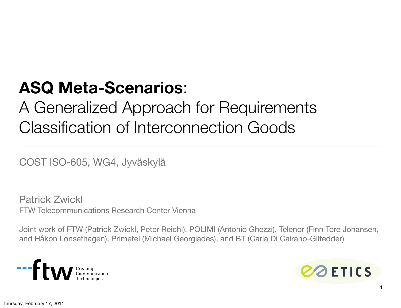# **ASQ Meta-Scenarios**:

# A Generalized Approach for Requirements Classification of Interconnection Goods

COST ISO-605, WG4, Jyväskylä

Patrick Zwickl FTW Telecommunications Research Center Vienna

Joint work of FTW (Patrick Zwickl, Peter Reichl), POLIMI (Antonio Ghezzi), Telenor (Finn Tore Johansen, and Håkon Lønsethagen), Primetel (Michael Georgiades), and BT (Carla Di Cairano-Gilfedder)





1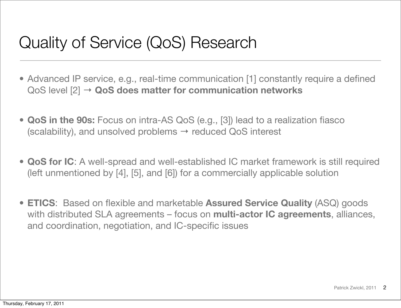### Quality of Service (QoS) Research

- Advanced IP service, e.g., real-time communication [1] constantly require a defined QoS level [2] → **QoS does matter for communication networks**
- **QoS in the 90s:** Focus on intra-AS QoS (e.g., [3]) lead to a realization fiasco  $(scalability)$ , and unsolved problems  $\rightarrow$  reduced QoS interest
- **QoS for IC**: A well-spread and well-established IC market framework is still required (left unmentioned by [4], [5], and [6]) for a commercially applicable solution
- **ETICS**: Based on flexible and marketable **Assured Service Quality** (ASQ) goods with distributed SLA agreements – focus on **multi-actor IC agreements**, alliances, and coordination, negotiation, and IC-specific issues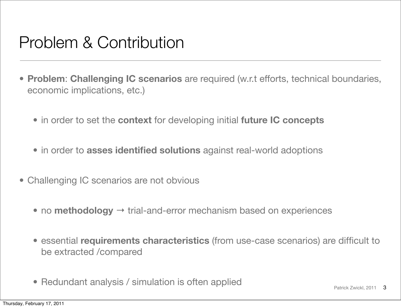#### Problem & Contribution

- **Problem**: **Challenging IC scenarios** are required (w.r.t efforts, technical boundaries, economic implications, etc.)
	- in order to set the **context** for developing initial **future IC concepts**
	- in order to **asses identified solutions** against real-world adoptions
- Challenging IC scenarios are not obvious
	- no **methodology** → trial-and-error mechanism based on experiences
	- essential **requirements characteristics** (from use-case scenarios) are difficult to be extracted /compared
	- Redundant analysis / simulation is often applied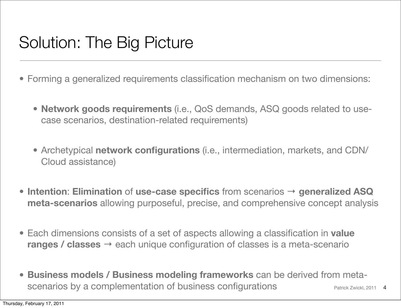## Solution: The Big Picture

- Forming a generalized requirements classification mechanism on two dimensions:
	- **Network goods requirements** (i.e., QoS demands, ASQ goods related to usecase scenarios, destination-related requirements)
	- Archetypical **network configurations** (i.e., intermediation, markets, and CDN/ Cloud assistance)
- **Intention**: **Elimination** of **use-case specifics** from scenarios → **generalized ASQ meta-scenarios** allowing purposeful, precise, and comprehensive concept analysis
- Each dimensions consists of a set of aspects allowing a classification in **value ranges / classes** → each unique configuration of classes is a meta-scenario
- Patrick Zwickl, 2011 • **Business models / Business modeling frameworks** can be derived from metascenarios by a complementation of business configurations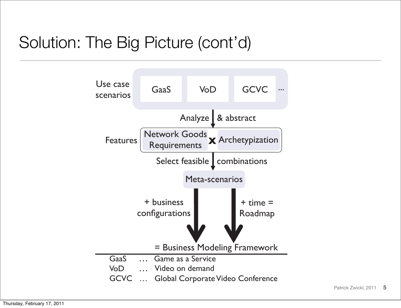## Solution: The Big Picture (cont'd)

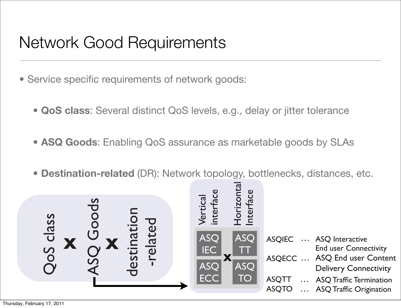### Network Good Requirements

- Service specific requirements of network goods:
	- **QoS class**: Several distinct QoS levels, e.g., delay or jitter tolerance
	- **ASQ Goods**: Enabling QoS assurance as marketable goods by SLAs
	- **Destination-related** (DR): Network topology, bottlenecks, distances, etc.

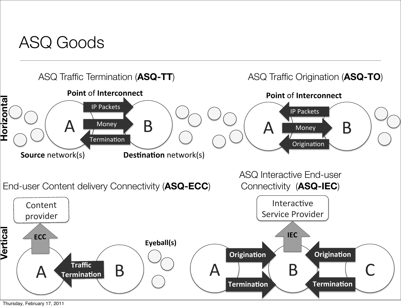#### ASQ Goods



Thursday, February 17, 2011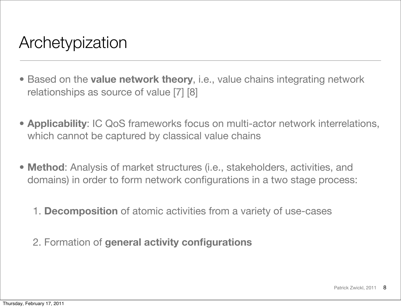### Archetypization

- Based on the **value network theory**, i.e., value chains integrating network relationships as source of value [7] [8]
- **Applicability**: IC QoS frameworks focus on multi-actor network interrelations, which cannot be captured by classical value chains
- **Method**: Analysis of market structures (i.e., stakeholders, activities, and domains) in order to form network configurations in a two stage process:
	- 1. **Decomposition** of atomic activities from a variety of use-cases
	- 2. Formation of **general activity configurations**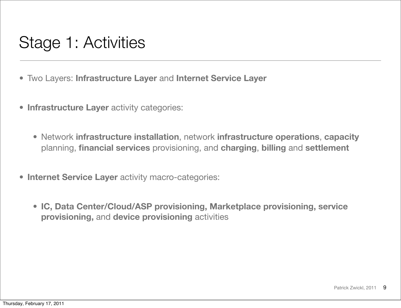## Stage 1: Activities

- Two Layers: **Infrastructure Layer** and **Internet Service Layer**
- **Infrastructure Layer** activity categories:
	- Network **infrastructure installation**, network **infrastructure operations**, **capacity** planning, **financial services** provisioning, and **charging**, **billing** and **settlement**
- **Internet Service Layer** activity macro-categories:
	- **IC, Data Center/Cloud/ASP provisioning, Marketplace provisioning, service provisioning,** and **device provisioning** activities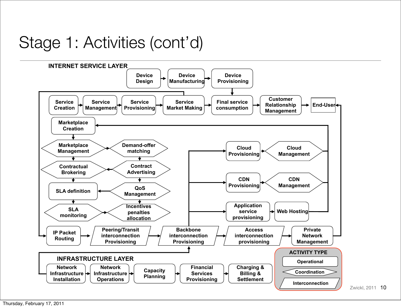# Stage 1: Activities (cont'd)

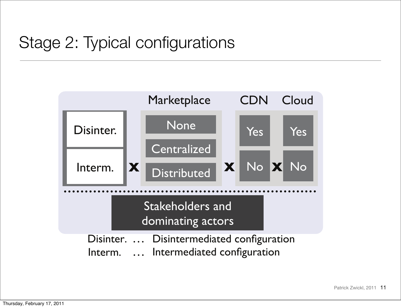# Stage 2: Typical configurations

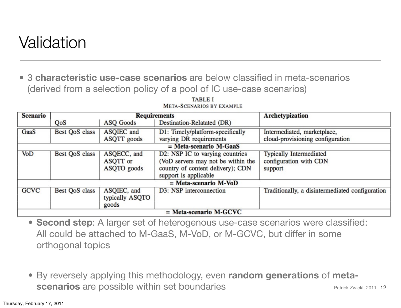## Validation

• 3 **characteristic use-case scenarios** are below classified in meta-scenarios (derived from a selection policy of a pool of IC use-case scenarios)

|                | <b>Requirements</b>                     |                                                                                                  | Archetypization                                                                 |
|----------------|-----------------------------------------|--------------------------------------------------------------------------------------------------|---------------------------------------------------------------------------------|
| QoS            | ASQ Goods                               | Destination-Relatated (DR)                                                                       |                                                                                 |
| Best QoS class | ASQIEC and                              | D1: Timely/platform-specifically                                                                 | Intermediated, marketplace,                                                     |
|                |                                         |                                                                                                  | cloud-provisioning configuration                                                |
|                |                                         |                                                                                                  |                                                                                 |
| Best QoS class | ASQECC, and                             | D2: NSP IC to varying countries                                                                  | <b>Typically Intermediated</b>                                                  |
|                | ASQTT or<br>ASQTO goods                 | (VoD servers may not be within the<br>country of content delivery); CDN<br>support is applicable | configuration with CDN<br>support                                               |
|                |                                         | $=$ Meta-scenario M-VoD                                                                          |                                                                                 |
| Best QoS class | ASQIEC, and<br>typically ASQTO<br>goods | D3: NSP interconnection                                                                          | Traditionally, a disintermediated configuration                                 |
|                |                                         | ASQTT goods                                                                                      | varying DR requirements<br>$=$ Meta-scenario M-GaaS<br>$=$ Meta-scenario M-GCVC |

**TABLE I META-SCENARIOS BY EXAMPLE** 

- **Second step**: A larger set of heterogenous use-case scenarios were classified: All could be attached to M-GaaS, M-VoD, or M-GCVC, but differ in some orthogonal topics
- Patrick Zwickl, 2011 12 • By reversely applying this methodology, even **random generations** of **metascenarios** are possible within set boundaries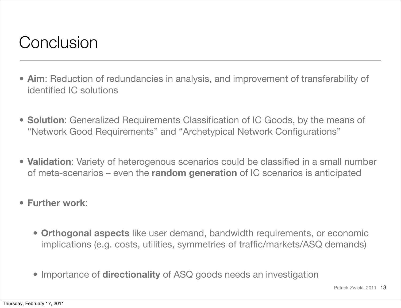### **Conclusion**

- **Aim**: Reduction of redundancies in analysis, and improvement of transferability of identified IC solutions
- **Solution**: Generalized Requirements Classification of IC Goods, by the means of "Network Good Requirements" and "Archetypical Network Configurations"
- **Validation**: Variety of heterogenous scenarios could be classified in a small number of meta-scenarios – even the **random generation** of IC scenarios is anticipated
- **Further work**:
	- **Orthogonal aspects** like user demand, bandwidth requirements, or economic implications (e.g. costs, utilities, symmetries of traffic/markets/ASQ demands)
	- Importance of **directionality** of ASQ goods needs an investigation